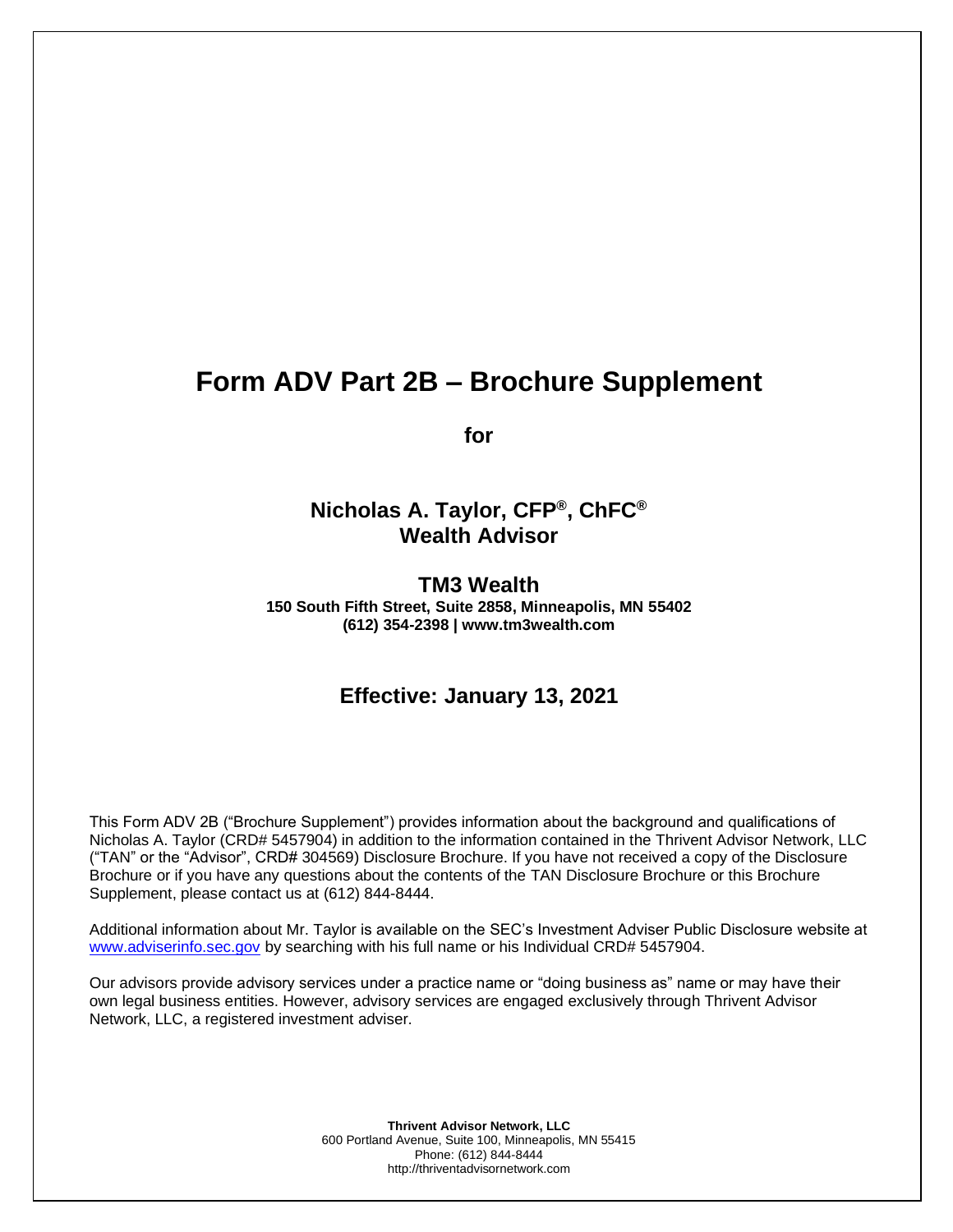# **Form ADV Part 2B – Brochure Supplement**

**for**

# **Nicholas A. Taylor, CFP®, ChFC® Wealth Advisor**

**TM3 Wealth**

**150 South Fifth Street, Suite 2858, Minneapolis, MN 55402 (612) 354-2398 | www.tm3wealth.com**

# **Effective: January 13, 2021**

This Form ADV 2B ("Brochure Supplement") provides information about the background and qualifications of Nicholas A. Taylor (CRD# 5457904) in addition to the information contained in the Thrivent Advisor Network, LLC ("TAN" or the "Advisor", CRD# 304569) Disclosure Brochure. If you have not received a copy of the Disclosure Brochure or if you have any questions about the contents of the TAN Disclosure Brochure or this Brochure Supplement, please contact us at (612) 844-8444.

Additional information about Mr. Taylor is available on the SEC's Investment Adviser Public Disclosure website at [www.adviserinfo.sec.gov](http://www.adviserinfo.sec.gov/) by searching with his full name or his Individual CRD# 5457904.

Our advisors provide advisory services under a practice name or "doing business as" name or may have their own legal business entities. However, advisory services are engaged exclusively through Thrivent Advisor Network, LLC, a registered investment adviser.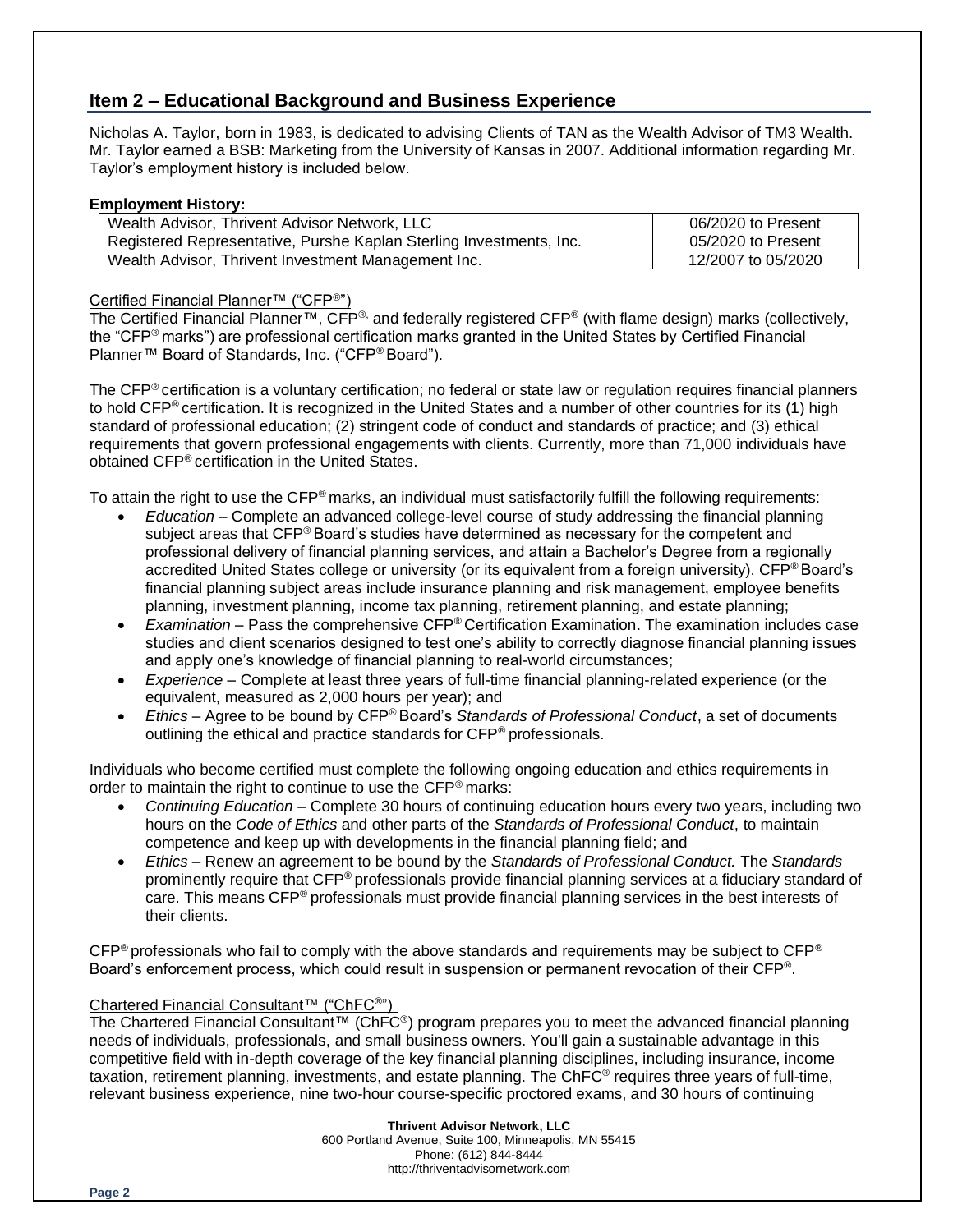## **Item 2 – Educational Background and Business Experience**

Nicholas A. Taylor, born in 1983, is dedicated to advising Clients of TAN as the Wealth Advisor of TM3 Wealth. Mr. Taylor earned a BSB: Marketing from the University of Kansas in 2007. Additional information regarding Mr. Taylor's employment history is included below.

#### **Employment History:**

| Wealth Advisor, Thrivent Advisor Network, LLC                       | 06/2020 to Present |
|---------------------------------------------------------------------|--------------------|
| Registered Representative, Purshe Kaplan Sterling Investments, Inc. | 05/2020 to Present |
| Wealth Advisor, Thrivent Investment Management Inc.                 | 12/2007 to 05/2020 |

#### Certified Financial Planner™ ("CFP®")

The Certified Financial Planner™, CFP®, and federally registered CFP® (with flame design) marks (collectively, the "CFP® marks") are professional certification marks granted in the United States by Certified Financial Planner™ Board of Standards, Inc. ("CFP® Board").

The CFP® certification is a voluntary certification; no federal or state law or regulation requires financial planners to hold CFP® certification. It is recognized in the United States and a number of other countries for its (1) high standard of professional education; (2) stringent code of conduct and standards of practice; and (3) ethical requirements that govern professional engagements with clients. Currently, more than 71,000 individuals have obtained CFP® certification in the United States.

To attain the right to use the CFP® marks, an individual must satisfactorily fulfill the following requirements:

- *Education* Complete an advanced college-level course of study addressing the financial planning subject areas that CFP® Board's studies have determined as necessary for the competent and professional delivery of financial planning services, and attain a Bachelor's Degree from a regionally accredited United States college or university (or its equivalent from a foreign university). CFP® Board's financial planning subject areas include insurance planning and risk management, employee benefits planning, investment planning, income tax planning, retirement planning, and estate planning;
- *Examination* Pass the comprehensive CFP® Certification Examination. The examination includes case studies and client scenarios designed to test one's ability to correctly diagnose financial planning issues and apply one's knowledge of financial planning to real-world circumstances;
- *Experience* Complete at least three years of full-time financial planning-related experience (or the equivalent, measured as 2,000 hours per year); and
- *Ethics* Agree to be bound by CFP® Board's *Standards of Professional Conduct*, a set of documents outlining the ethical and practice standards for CFP® professionals.

Individuals who become certified must complete the following ongoing education and ethics requirements in order to maintain the right to continue to use the CFP® marks:

- *Continuing Education* Complete 30 hours of continuing education hours every two years, including two hours on the *Code of Ethics* and other parts of the *Standards of Professional Conduct*, to maintain competence and keep up with developments in the financial planning field; and
- *Ethics* Renew an agreement to be bound by the *Standards of Professional Conduct.* The *Standards* prominently require that CFP® professionals provide financial planning services at a fiduciary standard of care. This means CFP® professionals must provide financial planning services in the best interests of their clients.

 $CFP<sup>®</sup>$  professionals who fail to comply with the above standards and requirements may be subject to  $CFP<sup>®</sup>$ Board's enforcement process, which could result in suspension or permanent revocation of their CFP®.

### Chartered Financial Consultant™ ("ChFC®")

The Chartered Financial Consultant™ (ChFC®) program prepares you to meet the advanced financial planning needs of individuals, professionals, and small business owners. You'll gain a sustainable advantage in this competitive field with in-depth coverage of the key financial planning disciplines, including insurance, income taxation, retirement planning, investments, and estate planning. The ChFC® requires three years of full-time, relevant business experience, nine two-hour course-specific proctored exams, and 30 hours of continuing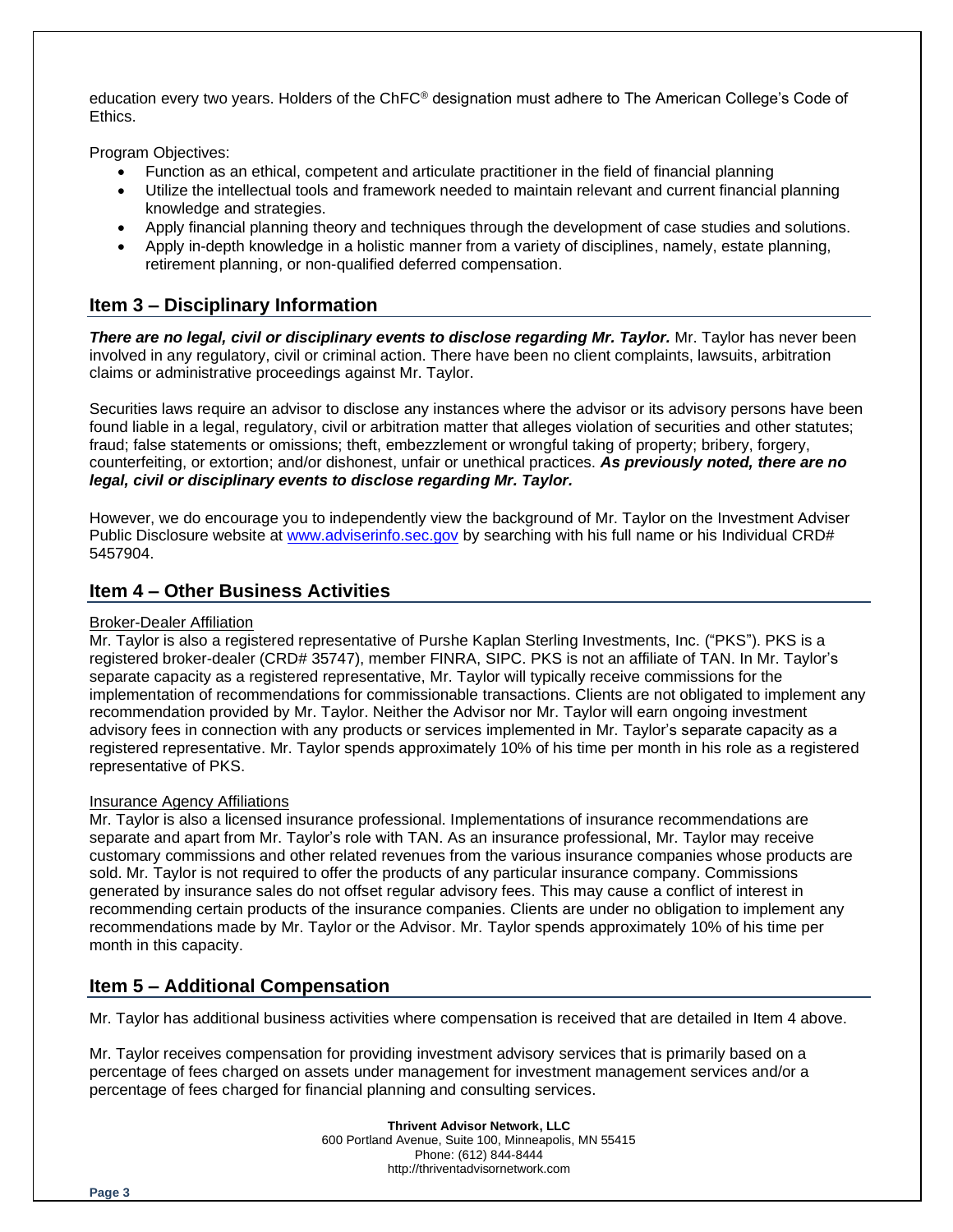education every two years. Holders of the ChFC® designation must adhere to The American College's Code of Ethics.

Program Objectives:

- Function as an ethical, competent and articulate practitioner in the field of financial planning
- Utilize the intellectual tools and framework needed to maintain relevant and current financial planning knowledge and strategies.
- Apply financial planning theory and techniques through the development of case studies and solutions.
- Apply in-depth knowledge in a holistic manner from a variety of disciplines, namely, estate planning, retirement planning, or non-qualified deferred compensation.

## **Item 3 – Disciplinary Information**

*There are no legal, civil or disciplinary events to disclose regarding Mr. Taylor.* Mr. Taylor has never been involved in any regulatory, civil or criminal action. There have been no client complaints, lawsuits, arbitration claims or administrative proceedings against Mr. Taylor.

Securities laws require an advisor to disclose any instances where the advisor or its advisory persons have been found liable in a legal, regulatory, civil or arbitration matter that alleges violation of securities and other statutes; fraud; false statements or omissions; theft, embezzlement or wrongful taking of property; bribery, forgery, counterfeiting, or extortion; and/or dishonest, unfair or unethical practices. *As previously noted, there are no legal, civil or disciplinary events to disclose regarding Mr. Taylor.*

However, we do encourage you to independently view the background of Mr. Taylor on the Investment Adviser Public Disclosure website at [www.adviserinfo.sec.gov](http://www.adviserinfo.sec.gov/) by searching with his full name or his Individual CRD# 5457904.

### **Item 4 – Other Business Activities**

#### Broker-Dealer Affiliation

Mr. Taylor is also a registered representative of Purshe Kaplan Sterling Investments, Inc. ("PKS"). PKS is a registered broker-dealer (CRD# 35747), member FINRA, SIPC. PKS is not an affiliate of TAN. In Mr. Taylor's separate capacity as a registered representative, Mr. Taylor will typically receive commissions for the implementation of recommendations for commissionable transactions. Clients are not obligated to implement any recommendation provided by Mr. Taylor. Neither the Advisor nor Mr. Taylor will earn ongoing investment advisory fees in connection with any products or services implemented in Mr. Taylor's separate capacity as a registered representative. Mr. Taylor spends approximately 10% of his time per month in his role as a registered representative of PKS.

#### Insurance Agency Affiliations

Mr. Taylor is also a licensed insurance professional. Implementations of insurance recommendations are separate and apart from Mr. Taylor's role with TAN. As an insurance professional, Mr. Taylor may receive customary commissions and other related revenues from the various insurance companies whose products are sold. Mr. Taylor is not required to offer the products of any particular insurance company. Commissions generated by insurance sales do not offset regular advisory fees. This may cause a conflict of interest in recommending certain products of the insurance companies. Clients are under no obligation to implement any recommendations made by Mr. Taylor or the Advisor. Mr. Taylor spends approximately 10% of his time per month in this capacity.

## **Item 5 – Additional Compensation**

Mr. Taylor has additional business activities where compensation is received that are detailed in Item 4 above.

Mr. Taylor receives compensation for providing investment advisory services that is primarily based on a percentage of fees charged on assets under management for investment management services and/or a percentage of fees charged for financial planning and consulting services.